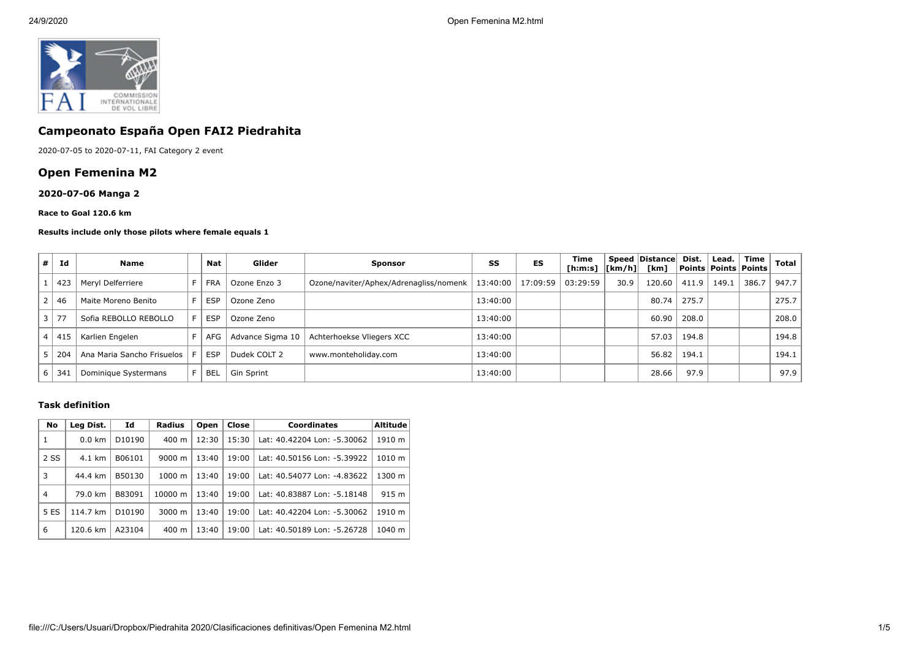

# **Campeonato España Open FAI2 Piedrahita**

2020-07-05 to 2020-07-11, FAI Category 2 event

# **Open Femenina M2**

### **2020-07-06 Manga 2**

#### **Race to Goal 120.6 km**

#### **Results include only those pilots where female equals 1**

| # | Id         | <b>Name</b>                |    | Nat        | Glider           | <b>Sponsor</b>                         | SS       | ES       | Time<br>$[ h: m: s]$ $  [ km/h]$ |      | Speed Distance<br>[km] | Dist. | Lead. | Time<br>  Points   Points   Points | Total |
|---|------------|----------------------------|----|------------|------------------|----------------------------------------|----------|----------|----------------------------------|------|------------------------|-------|-------|------------------------------------|-------|
|   | 423        | Meryl Delferriere          | F. | <b>FRA</b> | Ozone Enzo 3     | Ozone/naviter/Aphex/Adrenagliss/nomenk | 13:40:00 | 17:09:59 | 03:29:59                         | 30.9 | 120.60                 | 411.9 | 149.1 | 386.7                              | 947.7 |
|   | 46         | Maite Moreno Benito        | F. | <b>ESP</b> | Ozone Zeno       |                                        | 13:40:00 |          |                                  |      | 80.74                  | 275.7 |       |                                    | 275.7 |
|   | $\vert$ 77 | Sofia REBOLLO REBOLLO      | F. | <b>ESP</b> | Ozone Zeno       |                                        | 13:40:00 |          |                                  |      | 60.90                  | 208.0 |       |                                    | 208.0 |
|   | 41!        | Karlien Engelen            |    | AFG        | Advance Sigma 10 | Achterhoekse Vliegers XCC              | 13:40:00 |          |                                  |      | 57.03                  | 194.8 |       |                                    | 194.8 |
|   | 204        | Ana Maria Sancho Frisuelos | F. | <b>ESP</b> | Dudek COLT 2     | www.monteholiday.com                   | 13:40:00 |          |                                  |      | 56.82                  | 194.1 |       |                                    | 194.1 |
| b | 34.        | Dominique Systermans       |    | <b>BEL</b> | Gin Sprint       |                                        | 13:40:00 |          |                                  |      | 28.66                  | 97.9  |       |                                    | 97.9  |

#### **Task definition**

| No             | Id<br>Leg Dist.  |                    | Radius             | Open  | Close | <b>Coordinates</b>          | <b>Altitude</b> |  |
|----------------|------------------|--------------------|--------------------|-------|-------|-----------------------------|-----------------|--|
| 1              | $0.0 \text{ km}$ | D <sub>10190</sub> | 400 m              | 12:30 | 15:30 | Lat: 40.42204 Lon: -5.30062 | 1910 m          |  |
| 2 SS           | 4.1 km           | B06101             | $9000 \; \text{m}$ | 13:40 | 19:00 | Lat: 40.50156 Lon: -5.39922 | 1010 m          |  |
| 3              | 44.4 km          | B50130             | $1000 \;{\rm m}$   | 13:40 | 19:00 | Lat: 40.54077 Lon: -4.83622 | 1300 m          |  |
| $\overline{4}$ | 79.0 km          | B83091             | 10000 m            | 13:40 | 19:00 | Lat: 40.83887 Lon: -5.18148 | 915 m           |  |
| 5 ES           | 114.7 km         | D <sub>10190</sub> | $3000 \; \text{m}$ | 13:40 | 19:00 | Lat: 40.42204 Lon: -5.30062 | 1910 m          |  |
| 6              | 120.6 km         | A23104             | 400 m              | 13:40 | 19:00 | Lat: 40.50189 Lon: -5.26728 | 1040 m          |  |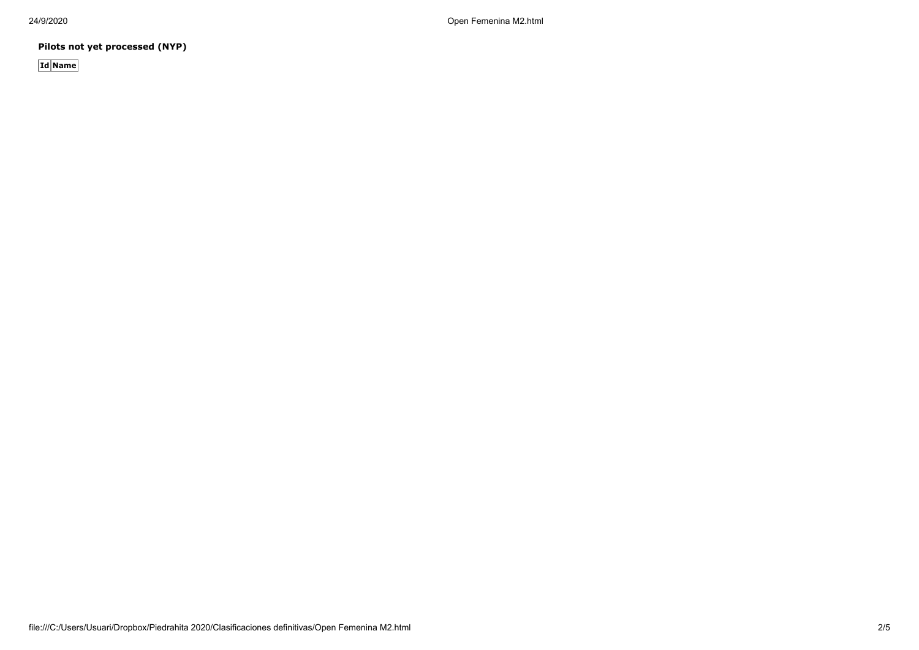24/9/2020 Open Femenina M2.html

**Pilots not yet processed (NYP)**

**Id Name**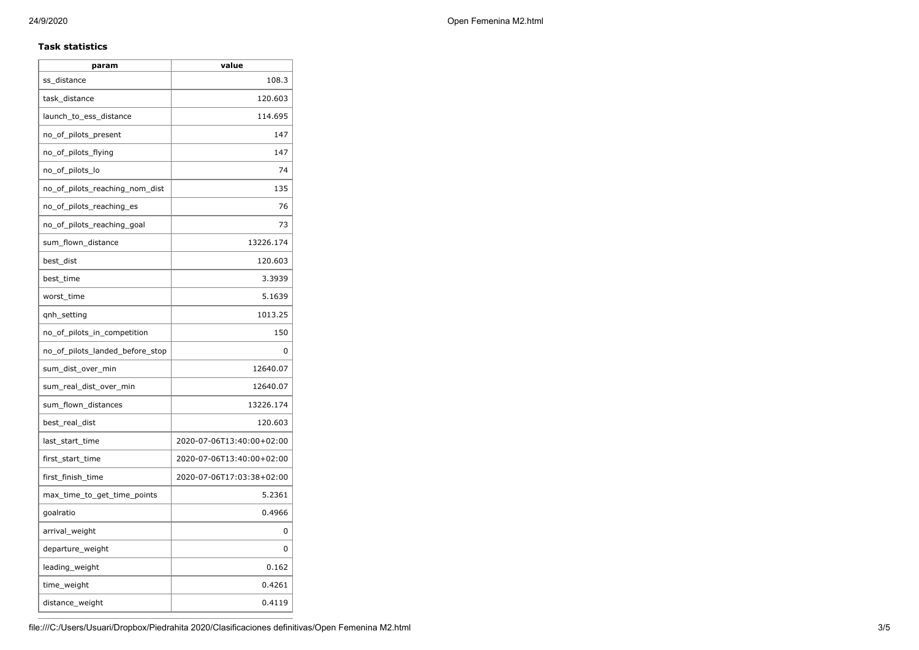### **Task statistics**

| param                           | value                     |
|---------------------------------|---------------------------|
| ss_distance                     | 108.3                     |
| task_distance                   | 120.603                   |
| launch_to_ess_distance          | 114.695                   |
| no_of_pilots_present            | 147                       |
| no_of_pilots_flying             | 147                       |
| no_of_pilots_lo                 | 74                        |
| no_of_pilots_reaching_nom_dist  | 135                       |
| no_of_pilots_reaching_es        | 76                        |
| no_of_pilots_reaching_goal      | 73                        |
| sum_flown_distance              | 13226.174                 |
| best_dist                       | 120.603                   |
| best_time                       | 3.3939                    |
| worst_time                      | 5.1639                    |
| qnh_setting                     | 1013.25                   |
| no_of_pilots_in_competition     | 150                       |
| no_of_pilots_landed_before_stop | 0                         |
| sum_dist_over_min               | 12640.07                  |
| sum real dist over min          | 12640.07                  |
| sum_flown_distances             | 13226.174                 |
| best_real_dist                  | 120.603                   |
| last start time                 | 2020-07-06T13:40:00+02:00 |
| first_start_time                | 2020-07-06T13:40:00+02:00 |
| first_finish_time               | 2020-07-06T17:03:38+02:00 |
| max_time_to_get_time_points     | 5.2361                    |
| goalratio                       | 0.4966                    |
| arrival_weight                  | 0                         |
| departure_weight                | 0                         |
| leading_weight                  | 0.162                     |
| time_weight                     | 0.4261                    |
| distance_weight                 | 0.4119                    |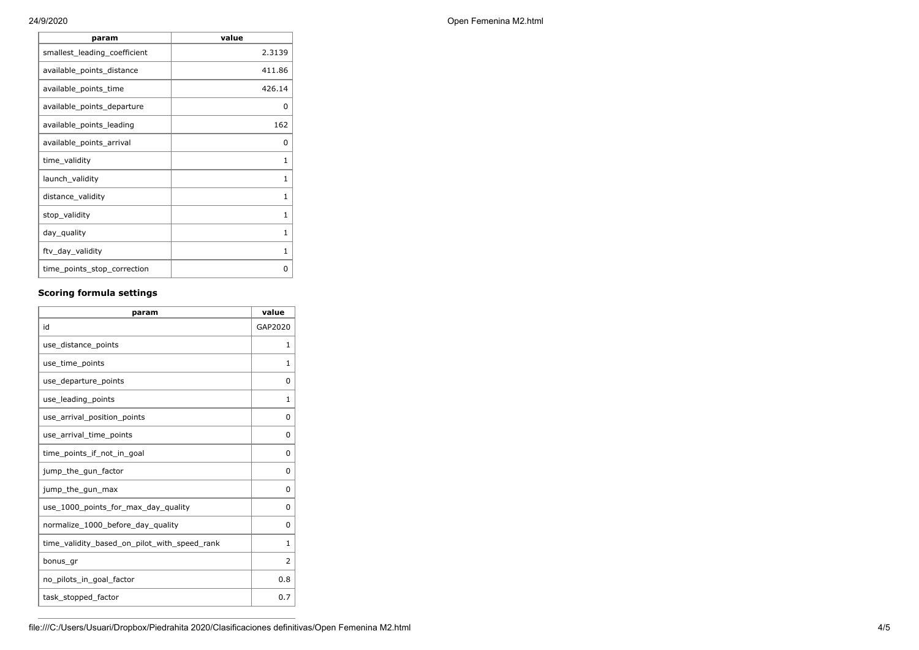| 24/9/2020 | Open Femenina M2.html |
|-----------|-----------------------|
|           |                       |

| param                        | value  |
|------------------------------|--------|
| smallest_leading_coefficient | 2.3139 |
| available_points_distance    | 411.86 |
| available_points_time        | 426.14 |
| available_points_departure   | O      |
| available_points_leading     | 162    |
| available_points_arrival     | O      |
| time_validity                | 1      |
| launch_validity              | 1      |
| distance_validity            | 1      |
| stop_validity                | 1      |
| day_quality                  | 1      |
| ftv_day_validity             | 1      |
| time_points_stop_correction  | O      |

# **Scoring formula settings**

| param                                        | value    |
|----------------------------------------------|----------|
| id                                           | GAP2020  |
| use_distance_points                          | 1        |
| use_time_points                              | 1        |
| use_departure_points                         | $\Omega$ |
| use_leading_points                           | 1        |
| use_arrival_position_points                  | 0        |
| use_arrival_time_points                      | 0        |
| time points if not in goal                   | 0        |
| jump_the_gun_factor                          | $\Omega$ |
| jump_the_gun_max                             | 0        |
| use_1000_points_for_max_day_quality          | $\Omega$ |
| normalize_1000_before_day_quality            | 0        |
| time_validity_based_on_pilot_with_speed_rank | 1        |
| bonus_gr                                     | 2        |
| no_pilots_in_goal_factor                     | 0.8      |
| task_stopped_factor                          | 0.7      |